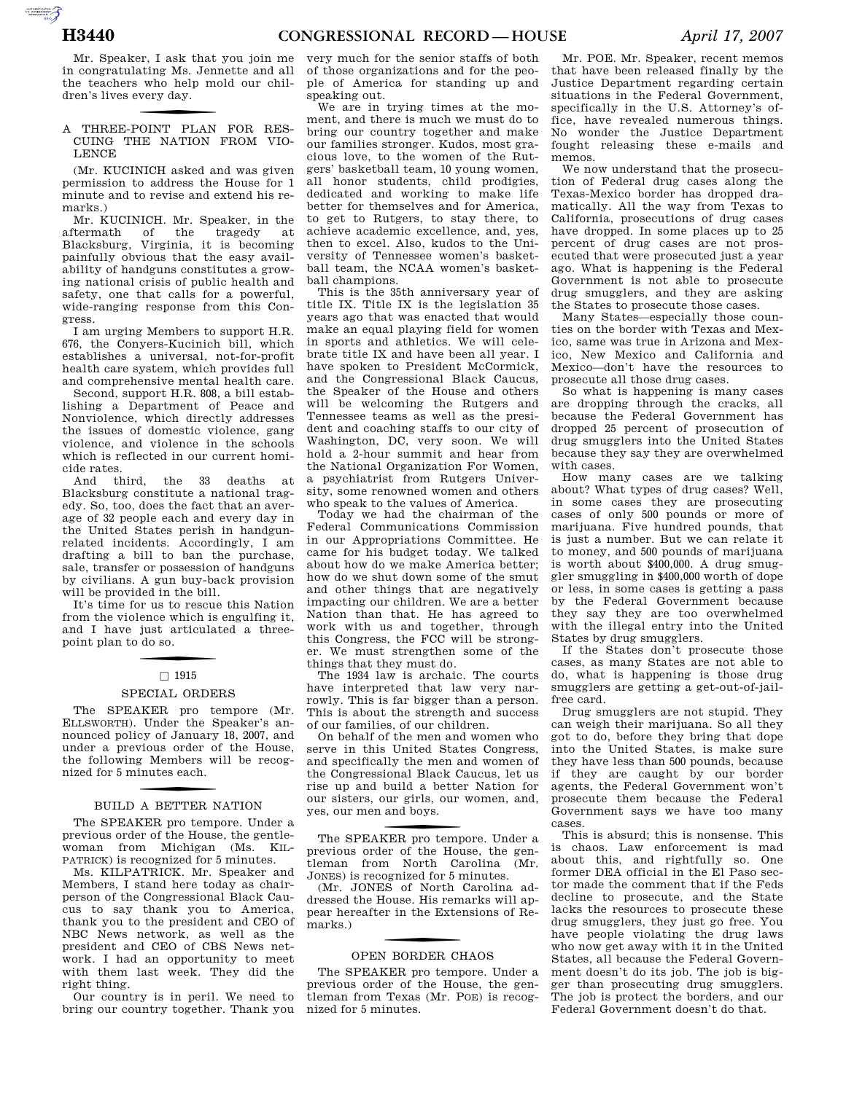AUTOROTOMICALE CONTINUES

## f A THREE-POINT PLAN FOR RES-CUING THE NATION FROM VIO-LENCE

(Mr. KUCINICH asked and was given permission to address the House for 1 minute and to revise and extend his remarks.)

Mr. KUCINICH. Mr. Speaker, in the aftermath of the tragedy at Blacksburg, Virginia, it is becoming painfully obvious that the easy availability of handguns constitutes a growing national crisis of public health and safety, one that calls for a powerful, wide-ranging response from this Congress.

I am urging Members to support H.R. 676, the Conyers-Kucinich bill, which establishes a universal, not-for-profit health care system, which provides full and comprehensive mental health care.

Second, support H.R. 808, a bill establishing a Department of Peace and Nonviolence, which directly addresses the issues of domestic violence, gang violence, and violence in the schools which is reflected in our current homicide rates.

And third, the 33 deaths at Blacksburg constitute a national tragedy. So, too, does the fact that an average of 32 people each and every day in the United States perish in handgunrelated incidents. Accordingly, I am drafting a bill to ban the purchase, sale, transfer or possession of handguns by civilians. A gun buy-back provision will be provided in the bill.

It's time for us to rescue this Nation from the violence which is engulfing it, and I have just articulated a threepoint plan to do so.

### $\Box$  1915

### SPECIAL ORDERS

The SPEAKER pro tempore (Mr. ELLSWORTH). Under the Speaker's announced policy of January 18, 2007, and under a previous order of the House, the following Members will be recognized for 5 minutes each.

# BUILD A BETTER NATION

The SPEAKER pro tempore. Under a previous order of the House, the gentlewoman from Michigan (Ms. KIL-PATRICK) is recognized for 5 minutes.

Ms. KILPATRICK. Mr. Speaker and Members, I stand here today as chairperson of the Congressional Black Caucus to say thank you to America, thank you to the president and CEO of NBC News network, as well as the president and CEO of CBS News network. I had an opportunity to meet with them last week. They did the right thing.

Our country is in peril. We need to bring our country together. Thank you

very much for the senior staffs of both of those organizations and for the people of America for standing up and speaking out.

We are in trying times at the moment, and there is much we must do to bring our country together and make our families stronger. Kudos, most gracious love, to the women of the Rutgers' basketball team, 10 young women, all honor students, child prodigies, dedicated and working to make life better for themselves and for America, to get to Rutgers, to stay there, to achieve academic excellence, and, yes, then to excel. Also, kudos to the University of Tennessee women's basketball team, the NCAA women's basketball champions.

This is the 35th anniversary year of title IX. Title IX is the legislation 35 years ago that was enacted that would make an equal playing field for women in sports and athletics. We will celebrate title IX and have been all year. I have spoken to President McCormick, and the Congressional Black Caucus, the Speaker of the House and others will be welcoming the Rutgers and Tennessee teams as well as the president and coaching staffs to our city of Washington, DC, very soon. We will hold a 2-hour summit and hear from the National Organization For Women, a psychiatrist from Rutgers University, some renowned women and others who speak to the values of America.

Today we had the chairman of the Federal Communications Commission in our Appropriations Committee. He came for his budget today. We talked about how do we make America better; how do we shut down some of the smut and other things that are negatively impacting our children. We are a better Nation than that. He has agreed to work with us and together, through this Congress, the FCC will be stronger. We must strengthen some of the things that they must do.

The 1934 law is archaic. The courts have interpreted that law very narrowly. This is far bigger than a person. This is about the strength and success of our families, of our children.

On behalf of the men and women who serve in this United States Congress, and specifically the men and women of the Congressional Black Caucus, let us rise up and build a better Nation for our sisters, our girls, our women, and, yes, our men and boys.

The SPEAKER pro tempore. Under a previous order of the House, the gentleman from North Carolina (Mr. JONES) is recognized for 5 minutes.

(Mr. JONES of North Carolina addressed the House. His remarks will appear hereafter in the Extensions of Remarks.)

## OPEN BORDER CHAOS

The SPEAKER pro tempore. Under a previous order of the House, the gentleman from Texas (Mr. POE) is recognized for 5 minutes.

Mr. POE. Mr. Speaker, recent memos that have been released finally by the Justice Department regarding certain situations in the Federal Government, specifically in the U.S. Attorney's office, have revealed numerous things. No wonder the Justice Department fought releasing these e-mails and memos.

We now understand that the prosecution of Federal drug cases along the Texas-Mexico border has dropped dramatically. All the way from Texas to California, prosecutions of drug cases have dropped. In some places up to 25 percent of drug cases are not prosecuted that were prosecuted just a year ago. What is happening is the Federal Government is not able to prosecute drug smugglers, and they are asking the States to prosecute those cases.

Many States—especially those counties on the border with Texas and Mexico, same was true in Arizona and Mexico, New Mexico and California and Mexico—don't have the resources to prosecute all those drug cases.

So what is happening is many cases are dropping through the cracks, all because the Federal Government has dropped 25 percent of prosecution of drug smugglers into the United States because they say they are overwhelmed with cases.

How many cases are we talking about? What types of drug cases? Well, in some cases they are prosecuting cases of only 500 pounds or more of marijuana. Five hundred pounds, that is just a number. But we can relate it to money, and 500 pounds of marijuana is worth about \$400,000. A drug smuggler smuggling in \$400,000 worth of dope or less, in some cases is getting a pass by the Federal Government because they say they are too overwhelmed with the illegal entry into the United States by drug smugglers.

If the States don't prosecute those cases, as many States are not able to do, what is happening is those drug smugglers are getting a get-out-of-jailfree card.

Drug smugglers are not stupid. They can weigh their marijuana. So all they got to do, before they bring that dope into the United States, is make sure they have less than 500 pounds, because if they are caught by our border agents, the Federal Government won't prosecute them because the Federal Government says we have too many cases.

This is absurd; this is nonsense. This is chaos. Law enforcement is mad about this, and rightfully so. One former DEA official in the El Paso sector made the comment that if the Feds decline to prosecute, and the State lacks the resources to prosecute these drug smugglers, they just go free. You have people violating the drug laws who now get away with it in the United States, all because the Federal Government doesn't do its job. The job is bigger than prosecuting drug smugglers. The job is protect the borders, and our Federal Government doesn't do that.